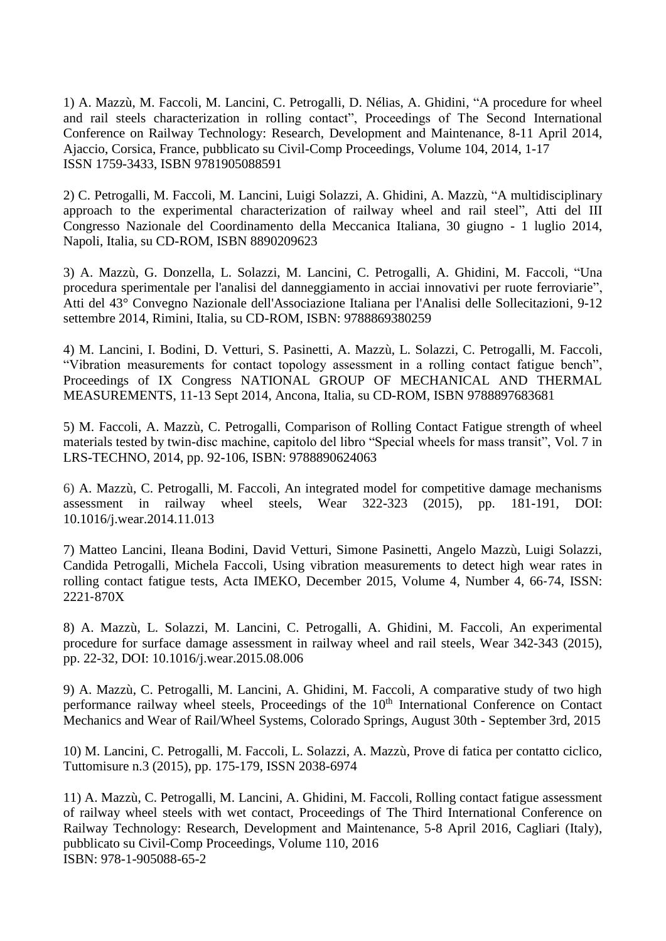1) A. Mazzù, M. Faccoli, M. Lancini, C. Petrogalli, D. Nélias, A. Ghidini, "A procedure for wheel and rail steels characterization in rolling contact", Proceedings of The Second International Conference on Railway Technology: Research, Development and Maintenance, 8-11 April 2014, Ajaccio, Corsica, France, pubblicato su Civil-Comp Proceedings, Volume 104, 2014, 1-17 ISSN 1759-3433, ISBN 9781905088591

2) [C. Petrogalli, M. Faccoli, M. Lancini, Luigi Solazzi, A](javascript:;). Ghidini, [A. Mazzù,](javascript:;) "A multidisciplinary approach to the experimental characterization of railway wheel and rail steel", Atti del III Congresso Nazionale del Coordinamento della Meccanica Italiana, 30 giugno - 1 luglio 2014, Napoli, Italia, su CD-ROM, ISBN 8890209623

3) A. [Mazzù, G](javascript:;). [Donzella, L](javascript:;). [Solazzi, M](javascript:;). [Lancini, C](javascript:;). [Petrogalli, A](javascript:;). Ghidini, M. [Faccoli, "](javascript:;)Una procedura sperimentale per l'analisi del danneggiamento in acciai innovativi per ruote ferroviarie", Atti del 43° Convegno Nazionale dell'Associazione Italiana per l'Analisi delle Sollecitazioni, 9-12 settembre 2014, Rimini, Italia, su CD-ROM, ISBN: 9788869380259

4) M. [Lancini, I](javascript:;). [Bodini, D](javascript:;). [Vetturi, S](javascript:;). [Pasinetti, A](javascript:;). [Mazzù, L](javascript:;). [Solazzi, C](javascript:;). [Petrogalli, M](javascript:;). [Faccoli,](javascript:;)  "Vibration measurements for contact topology assessment in a rolling contact fatigue bench", Proceedings of IX Congress NATIONAL GROUP OF MECHANICAL AND THERMAL MEASUREMENTS, 11-13 Sept 2014, Ancona, Italia, su CD-ROM, ISBN 9788897683681

5) M. Faccoli, A. Mazzù, C. Petrogalli, Comparison of Rolling Contact Fatigue strength of wheel materials tested by twin-disc machine, capitolo del libro "Special wheels for mass transit", Vol. 7 in LRS-TECHNO, 2014, pp. 92-106, ISBN: 9788890624063

6) A. Mazzù, C. Petrogalli, M. Faccoli, An integrated model for competitive damage mechanisms assessment in railway wheel steels, Wear 322-323 (2015), pp. 181-191, DOI: [10.1016/j.wear.2014.11.013](http://dx.doi.org/10.1016/j.wear.2014.11.013)

7) Matteo Lancini, Ileana Bodini, David Vetturi, Simone Pasinetti, Angelo Mazzù, Luigi Solazzi, Candida Petrogalli, Michela Faccoli, Using vibration measurements to detect high wear rates in rolling contact fatigue tests, Acta IMEKO, December 2015, Volume 4, Number 4, 66‐74, ISSN: 2221‐870X

8) [A. Mazzù,](http://www.sciencedirect.com/science/article/pii/S0043164815003786) [L. Solazzi, M. Lancini,](http://www.sciencedirect.com/science/article/pii/S0043164815003786) [C. Petrogalli,](http://www.sciencedirect.com/science/article/pii/S0043164815003786) [A. Ghidini,](http://www.sciencedirect.com/science/article/pii/S0043164815003786) [M. Faccoli,](http://www.sciencedirect.com/science/article/pii/S0043164815003786) An experimental procedure for surface damage assessment in railway wheel and rail steels, Wear 342-343 (2015), pp. 22-32, DOI: [10.1016/j.wear.2015.08.006](http://dx.doi.org/10.1016/j.wear.2015.08.006)

9) A. Mazzù, C. Petrogalli, M. Lancini, A. Ghidini, M. Faccoli, A comparative study of two high performance railway wheel steels, Proceedings of the 10<sup>th</sup> International Conference on Contact Mechanics and Wear of Rail/Wheel Systems, Colorado Springs, August 30th - September 3rd, 2015

10) M. Lancini, C. Petrogalli, M. Faccoli, L. Solazzi, A. Mazzù, Prove di fatica per contatto ciclico, Tuttomisure n.3 (2015), pp. 175-179, ISSN 2038-6974

11) A. Mazzù, C. Petrogalli, M. Lancini, A. Ghidini, M. Faccoli, Rolling contact fatigue assessment of railway wheel steels with wet contact, Proceedings of The Third International Conference on Railway Technology: Research, Development and Maintenance, 5-8 April 2016, Cagliari (Italy), pubblicato su Civil-Comp Proceedings, Volume 110, 2016 ISBN: 978-1-905088-65-2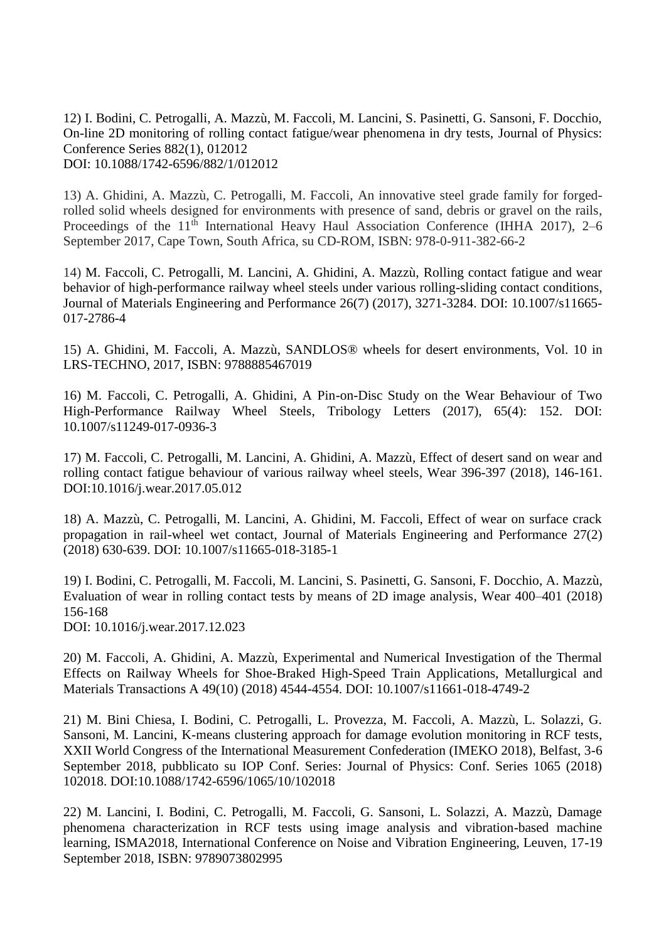12) I. Bodini, C. Petrogalli, A. Mazzù, M. Faccoli, M. Lancini, S. Pasinetti, G. Sansoni, F. Docchio, On-line 2D monitoring of rolling contact fatigue/wear phenomena in dry tests, Journal of Physics: Conference Series 882(1), 012012 DOI: 10.1088/1742-6596/882/1/012012

13) A. Ghidini, A. Mazzù, C. Petrogalli, M. Faccoli, An innovative steel grade family for forgedrolled solid wheels designed for environments with presence of sand, debris or gravel on the rails, Proceedings of the 11<sup>th</sup> International Heavy Haul Association Conference (IHHA 2017), 2–6 September 2017, Cape Town, South Africa, su CD-ROM, ISBN: 978-0-911-382-66-2

14) M. Faccoli, C. Petrogalli, M. Lancini, A. Ghidini, A. Mazzù, Rolling contact fatigue and wear behavior of high-performance railway wheel steels under various rolling-sliding contact conditions, Journal of Materials Engineering and Performance 26(7) (2017), 3271-3284. DOI: 10.1007/s11665- 017-2786-4

15) A. Ghidini, M. Faccoli, A. Mazzù, SANDLOS® wheels for desert environments, Vol. 10 in LRS-TECHNO, 2017, ISBN: 9788885467019

16) M. Faccoli, C. Petrogalli, A. Ghidini, A Pin-on-Disc Study on the Wear Behaviour of Two High-Performance Railway Wheel Steels, Tribology Letters (2017), 65(4): 152. DOI: 10.1007/s11249-017-0936-3

17) M. Faccoli, C. Petrogalli, M. Lancini, A. Ghidini, A. Mazzù, Effect of desert sand on wear and rolling contact fatigue behaviour of various railway wheel steels, Wear 396-397 (2018), 146-161. DOI:10.1016/j.wear.2017.05.012

18) A. Mazzù, C. Petrogalli, M. Lancini, A. Ghidini, M. Faccoli, Effect of wear on surface crack propagation in rail-wheel wet contact, Journal of Materials Engineering and Performance 27(2) (2018) 630-639. DOI: 10.1007/s11665-018-3185-1

19) I. Bodini, C. Petrogalli, M. Faccoli, M. Lancini, S. Pasinetti, G. Sansoni, F. Docchio, A. Mazzù, Evaluation of wear in rolling contact tests by means of 2D image analysis, Wear 400–401 (2018) 156-168

DOI: 10.1016/j.wear.2017.12.023

20) M. Faccoli, A. Ghidini, A. Mazzù, Experimental and Numerical Investigation of the Thermal Effects on Railway Wheels for Shoe-Braked High-Speed Train Applications, Metallurgical and Materials Transactions A 49(10) (2018) 4544-4554. DOI: 10.1007/s11661-018-4749-2

21) M. Bini Chiesa, I. Bodini, C. Petrogalli, L. Provezza, M. Faccoli, A. Mazzù, L. Solazzi, G. Sansoni, M. Lancini, K-means clustering approach for damage evolution monitoring in RCF tests, XXII World Congress of the International Measurement Confederation (IMEKO 2018), Belfast, 3-6 September 2018, pubblicato su IOP Conf. Series: Journal of Physics: Conf. Series 1065 (2018) 102018. DOI:10.1088/1742-6596/1065/10/102018

22) M. Lancini, I. Bodini, C. Petrogalli, M. Faccoli, G. Sansoni, L. Solazzi, A. Mazzù, Damage phenomena characterization in RCF tests using image analysis and vibration-based machine learning, ISMA2018, International Conference on Noise and Vibration Engineering, Leuven, 17-19 September 2018, ISBN: 9789073802995